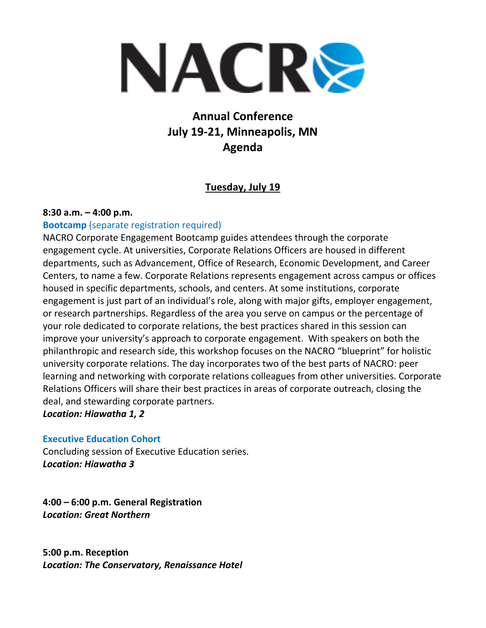

# **Annual Conference July 19-21, Minneapolis, MN Agenda**

## **Tuesday, July 19**

#### **8:30 a.m. – 4:00 p.m.**

## **Bootcamp** (separate registration required)

NACRO Corporate Engagement Bootcamp guides attendees through the corporate engagement cycle. At universities, Corporate Relations Officers are housed in different departments, such as Advancement, Office of Research, Economic Development, and Career Centers, to name a few. Corporate Relations represents engagement across campus or offices housed in specific departments, schools, and centers. At some institutions, corporate engagement is just part of an individual's role, along with major gifts, employer engagement, or research partnerships. Regardless of the area you serve on campus or the percentage of your role dedicated to corporate relations, the best practices shared in this session can improve your university's approach to corporate engagement. With speakers on both the philanthropic and research side, this workshop focuses on the NACRO "blueprint" for holistic university corporate relations. The day incorporates two of the best parts of NACRO: peer learning and networking with corporate relations colleagues from other universities. Corporate Relations Officers will share their best practices in areas of corporate outreach, closing the deal, and stewarding corporate partners.

## *Location: Hiawatha 1, 2*

## **Executive Education Cohort**

Concluding session of Executive Education series. *Location: Hiawatha 3*

**4:00 – 6:00 p.m. General Registration**  *Location: Great Northern*

**5:00 p.m. Reception**  *Location: The Conservatory, Renaissance Hotel*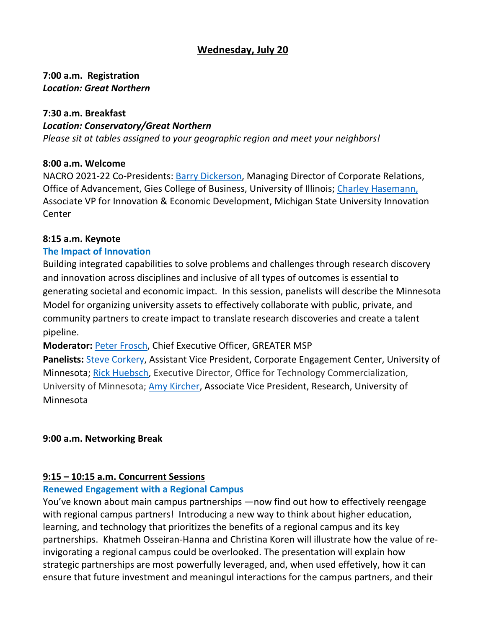## **Wednesday, July 20**

**7:00 a.m. Registration** *Location: Great Northern* 

## **7:30 a.m. Breakfast** *Location: Conservatory/Great Northern*

*Please sit at tables assigned to your geographic region and meet your neighbors!*

## **8:00 a.m. Welcome**

NACRO 2021-22 Co-Presidents: [Barry Dickerson,](https://www.linkedin.com/in/barry-dickerson-88a53b38/) Managing Director of Corporate Relations, Office of Advancement, Gies College of Business, University of Illinois; [Charley Hasemann,](https://www.linkedin.com/in/charley-hasemann-04a6a81/) Associate VP for Innovation & Economic Development, Michigan State University Innovation Center

## **8:15 a.m. Keynote**

## **The Impact of Innovation**

Building integrated capabilities to solve problems and challenges through research discovery and innovation across disciplines and inclusive of all types of outcomes is essential to generating societal and economic impact. In this session, panelists will describe the Minnesota Model for organizing university assets to effectively collaborate with public, private, and community partners to create impact to translate research discoveries and create a talent pipeline.

## **Moderator:** [Peter Frosch,](https://www.linkedin.com/in/peter-frosch/) Chief Executive Officer, GREATER MSP

**Panelists:** [Steve Corkery,](https://www.linkedin.com/in/corkery/) Assistant Vice President, Corporate Engagement Center, University of Minnesota; [Rick Huebsch,](https://www.linkedin.com/in/rhuebsch/) Executive Director, Office for Technology Commercialization, University of Minnesota; [Amy Kircher,](https://www.linkedin.com/in/amy-kircher-1a620540/) Associate Vice President, Research, University of Minnesota

## **9:00 a.m. Networking Break**

## **9:15 – 10:15 a.m. Concurrent Sessions**

## **Renewed Engagement with a Regional Campus**

You've known about main campus partnerships —now find out how to effectively reengage with regional campus partners! Introducing a new way to think about higher education, learning, and technology that prioritizes the benefits of a regional campus and its key partnerships. Khatmeh Osseiran-Hanna and Christina Koren will illustrate how the value of reinvigorating a regional campus could be overlooked. The presentation will explain how strategic partnerships are most powerfully leveraged, and, when used effetively, how it can ensure that future investment and meaningul interactions for the campus partners, and their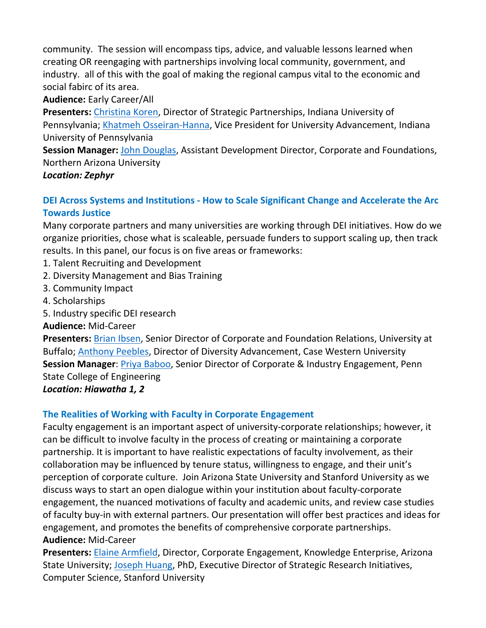community. The session will encompass tips, advice, and valuable lessons learned when creating OR reengaging with partnerships involving local community, government, and industry. all of this with the goal of making the regional campus vital to the economic and social fabirc of its area.

## **Audience:** Early Career/All

**Presenters:** [Christina Koren,](https://www.linkedin.com/in/christinajkoren/) Director of Strategic Partnerships, Indiana University of Pennsylvania; [Khatmeh Osseiran-Hanna,](https://www.linkedin.com/in/khatmehosseiranhanna/) Vice President for University Advancement, Indiana University of Pennsylvania

**Session Manager:** [John Douglas,](https://www.linkedin.com/in/john-douglas-73890912/) Assistant Development Director, Corporate and Foundations, Northern Arizona University

## *Location: Zephyr*

## **DEI Across Systems and Institutions - How to Scale Significant Change and Accelerate the Arc Towards Justice**

Many corporate partners and many universities are working through DEI initiatives. How do we organize priorities, chose what is scaleable, persuade funders to support scaling up, then track results. In this panel, our focus is on five areas or frameworks:

- 1. Talent Recruiting and Development
- 2. Diversity Management and Bias Training
- 3. Community Impact
- 4. Scholarships
- 5. Industry specific DEI research

**Audience:** Mid-Career

**Presenters:** [Brian Ibsen,](https://www.linkedin.com/in/brianibsen/) Senior Director of Corporate and Foundation Relations, University at Buffalo; [Anthony Peebles,](https://www.linkedin.com/in/tonypeebles/) Director of Diversity Advancement, Case Western University **Session Manager**: [Priya Baboo,](https://www.linkedin.com/in/priya-baboo-0039a93/) Senior Director of Corporate & Industry Engagement, Penn State College of Engineering

*Location: Hiawatha 1, 2* 

## **The Realities of Working with Faculty in Corporate Engagement**

Faculty engagement is an important aspect of university-corporate relationships; however, it can be difficult to involve faculty in the process of creating or maintaining a corporate partnership. It is important to have realistic expectations of faculty involvement, as their collaboration may be influenced by tenure status, willingness to engage, and their unit's perception of corporate culture. Join Arizona State University and Stanford University as we discuss ways to start an open dialogue within your institution about faculty-corporate engagement, the nuanced motivations of faculty and academic units, and review case studies of faculty buy-in with external partners. Our presentation will offer best practices and ideas for engagement, and promotes the benefits of comprehensive corporate partnerships. **Audience:** Mid-Career

**Presenters:** [Elaine Armfield,](https://www.linkedin.com/in/elainearmfield/) Director, Corporate Engagement, Knowledge Enterprise, Arizona State University; [Joseph Huang,](https://www.linkedin.com/in/jhuangwithnmr/) PhD, Executive Director of Strategic Research Initiatives, Computer Science, Stanford University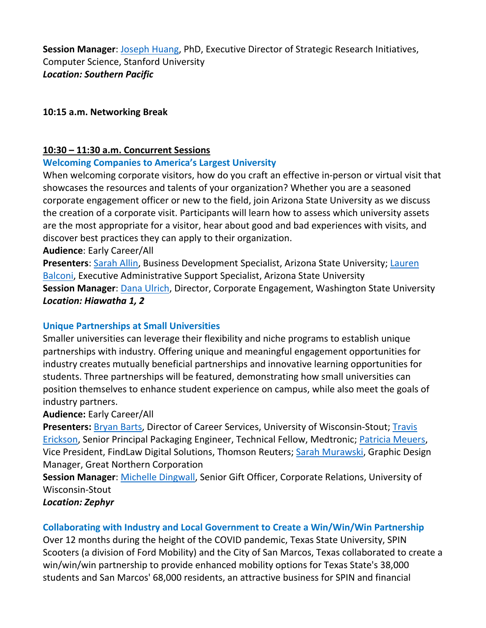**Session Manager**: [Joseph Huang,](https://www.linkedin.com/in/jhuangwithnmr/) PhD, Executive Director of Strategic Research Initiatives, Computer Science, Stanford University *Location: Southern Pacific*

#### **10:15 a.m. Networking Break**

#### **10:30 – 11:30 a.m. Concurrent Sessions**

#### **Welcoming Companies to America's Largest University**

When welcoming corporate visitors, how do you craft an effective in-person or virtual visit that showcases the resources and talents of your organization? Whether you are a seasoned corporate engagement officer or new to the field, join Arizona State University as we discuss the creation of a corporate visit. Participants will learn how to assess which university assets are the most appropriate for a visitor, hear about good and bad experiences with visits, and discover best practices they can apply to their organization.

#### **Audience**: Early Career/All

**Presenters**: [Sarah Allin,](https://www.linkedin.com/in/sarah-allin-85412240/) Business Development Specialist, Arizona State University; [Lauren](https://www.linkedin.com/in/laurenbalconi/)  [Balconi,](https://www.linkedin.com/in/laurenbalconi/) Executive Administrative Support Specialist, Arizona State University **Session Manager**: [Dana Ulrich,](https://www.linkedin.com/search/results/all/?keywords=dana%20ulrich&origin=RICH_QUERY_SUGGESTION&position=0&searchId=a6e4c287-c70d-4d78-bc8b-c1a205dc1631&sid=vjw) Director, Corporate Engagement, Washington State University *Location: Hiawatha 1, 2* 

## **Unique Partnerships at Small Universities**

Smaller universities can leverage their flexibility and niche programs to establish unique partnerships with industry. Offering unique and meaningful engagement opportunities for industry creates mutually beneficial partnerships and innovative learning opportunities for students. Three partnerships will be featured, demonstrating how small universities can position themselves to enhance student experience on campus, while also meet the goals of industry partners.

## **Audience:** Early Career/All

**Presenters:** [Bryan Barts,](https://www.linkedin.com/in/bryanbarts/) Director of Career Services, University of Wisconsin-Stout; [Travis](https://www.linkedin.com/in/travisderickson/)  [Erickson,](https://www.linkedin.com/in/travisderickson/) Senior Principal Packaging Engineer, Technical Fellow, Medtronic; [Patricia Meuers,](https://www.linkedin.com/in/patmeuers/) Vice President, FindLaw Digital Solutions, Thomson Reuters; [Sarah Murawski,](https://www.linkedin.com/in/sarah-murawski-403386b7/) Graphic Design Manager, Great Northern Corporation

**Session Manager**: [Michelle Dingwall,](https://www.linkedin.com/in/michelle-dingwall-922954b0/) Senior Gift Officer, Corporate Relations, University of Wisconsin-Stout

## *Location: Zephyr*

## **Collaborating with Industry and Local Government to Create a Win/Win/Win Partnership**

Over 12 months during the height of the COVID pandemic, Texas State University, SPIN Scooters (a division of Ford Mobility) and the City of San Marcos, Texas collaborated to create a win/win/win partnership to provide enhanced mobility options for Texas State's 38,000 students and San Marcos' 68,000 residents, an attractive business for SPIN and financial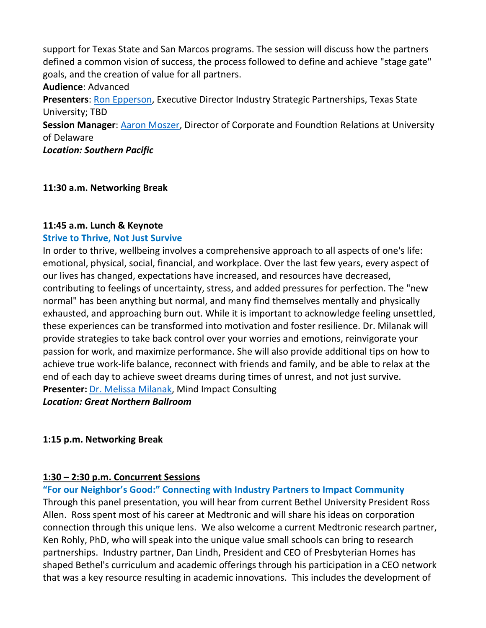support for Texas State and San Marcos programs. The session will discuss how the partners defined a common vision of success, the process followed to define and achieve "stage gate" goals, and the creation of value for all partners.

**Audience**: Advanced

**Presenters**: [Ron Epperson,](https://www.linkedin.com/in/ronepperson/) Executive Director Industry Strategic Partnerships, Texas State University; TBD

**Session Manager**: [Aaron Moszer,](https://www.linkedin.com/search/results/all/?keywords=aaron%20moszer&origin=RICH_QUERY_SUGGESTION&position=0&searchId=cdea626a-5255-469d-a942-3c7863073e7e&sid=M7e) Director of Corporate and Foundtion Relations at University of Delaware

*Location: Southern Pacific*

## **11:30 a.m. Networking Break**

#### **11:45 a.m. Lunch & Keynote**

#### **Strive to Thrive, Not Just Survive**

In order to thrive, wellbeing involves a comprehensive approach to all aspects of one's life: emotional, physical, social, financial, and workplace. Over the last few years, every aspect of our lives has changed, expectations have increased, and resources have decreased, contributing to feelings of uncertainty, stress, and added pressures for perfection. The "new normal" has been anything but normal, and many find themselves mentally and physically exhausted, and approaching burn out. While it is important to acknowledge feeling unsettled, these experiences can be transformed into motivation and foster resilience. Dr. Milanak will provide strategies to take back control over your worries and emotions, reinvigorate your passion for work, and maximize performance. She will also provide additional tips on how to achieve true work-life balance, reconnect with friends and family, and be able to relax at the end of each day to achieve sweet dreams during times of unrest, and not just survive. **Presenter:** [Dr. Melissa Milanak,](https://www.linkedin.com/in/melissaemilanakphd/) Mind Impact Consulting

*Location: Great Northern Ballroom*

## **1:15 p.m. Networking Break**

## **1:30 – 2:30 p.m. Concurrent Sessions**

**"For our Neighbor's Good:" Connecting with Industry Partners to Impact Community** Through this panel presentation, you will hear from current Bethel University President Ross Allen. Ross spent most of his career at Medtronic and will share his ideas on corporation connection through this unique lens. We also welcome a current Medtronic research partner, Ken Rohly, PhD, who will speak into the unique value small schools can bring to research partnerships. Industry partner, Dan Lindh, President and CEO of Presbyterian Homes has shaped Bethel's curriculum and academic offerings through his participation in a CEO network that was a key resource resulting in academic innovations. This includes the development of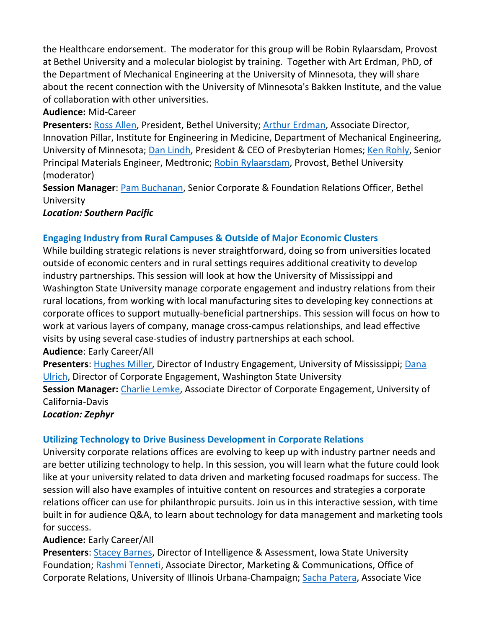the Healthcare endorsement. The moderator for this group will be Robin Rylaarsdam, Provost at Bethel University and a molecular biologist by training. Together with Art Erdman, PhD, of the Department of Mechanical Engineering at the University of Minnesota, they will share about the recent connection with the University of Minnesota's Bakken Institute, and the value of collaboration with other universities.

## **Audience:** Mid-Career

**Presenters:** [Ross Allen,](https://www.linkedin.com/in/ross-allen/) President, Bethel University; [Arthur Erdman,](https://cse.umn.edu/me/arthur-erdman) Associate Director, Innovation Pillar, Institute for Engineering in Medicine, Department of Mechanical Engineering, University of Minnesota; [Dan Lindh,](https://www.preshomes.org/get-to-know-us/leadership-team) President & CEO of Presbyterian Homes; [Ken Rohly,](https://www.linkedin.com/in/ken-rohly-457a2510/) Senior Principal Materials Engineer, Medtronic; [Robin Rylaarsdam,](https://www.linkedin.com/in/robin-rylaarsdam/) Provost, Bethel University (moderator)

**Session Manager**: [Pam Buchanan,](https://www.linkedin.com/search/results/all/?keywords=pamela%20buchanan&origin=RICH_QUERY_SUGGESTION&position=0&searchId=450529d1-70e0-4b45-8b3e-a0ad3ddee806&sid=%2CT%3A) Senior Corporate & Foundation Relations Officer, Bethel **University** 

## *Location: Southern Pacific*

## **Engaging Industry from Rural Campuses & Outside of Major Economic Clusters**

While building strategic relations is never straightforward, doing so from universities located outside of economic centers and in rural settings requires additional creativity to develop industry partnerships. This session will look at how the University of Mississippi and Washington State University manage corporate engagement and industry relations from their rural locations, from working with local manufacturing sites to developing key connections at corporate offices to support mutually-beneficial partnerships. This session will focus on how to work at various layers of company, manage cross-campus relationships, and lead effective visits by using several case-studies of industry partnerships at each school. **Audience**: Early Career/All

**Presenters**: [Hughes Miller,](https://www.linkedin.com/in/hughesmiller/) Director of Industry Engagement, University of Mississippi; [Dana](https://www.linkedin.com/in/dana-ulrich-5766474/)  [Ulrich,](https://www.linkedin.com/in/dana-ulrich-5766474/) Director of Corporate Engagement, Washington State University

**Session Manager:** [Charlie Lemke,](https://www.linkedin.com/in/charleslemcke/) Associate Director of Corporate Engagement, University of California-Davis

*Location: Zephyr*

## **Utilizing Technology to Drive Business Development in Corporate Relations**

University corporate relations offices are evolving to keep up with industry partner needs and are better utilizing technology to help. In this session, you will learn what the future could look like at your university related to data driven and marketing focused roadmaps for success. The session will also have examples of intuitive content on resources and strategies a corporate relations officer can use for philanthropic pursuits. Join us in this interactive session, with time built in for audience Q&A, to learn about technology for data management and marketing tools for success.

## **Audience:** Early Career/All

**Presenters**: [Stacey Barnes,](https://www.linkedin.com/in/stacey-barnes-738a98232/) Director of Intelligence & Assessment, Iowa State University Foundation; [Rashmi Tenneti,](https://www.linkedin.com/in/rashmitenneti/) Associate Director, Marketing & Communications, Office of Corporate Relations, University of Illinois Urbana-Champaign; [Sacha Patera,](https://www.linkedin.com/in/sachapatera/) Associate Vice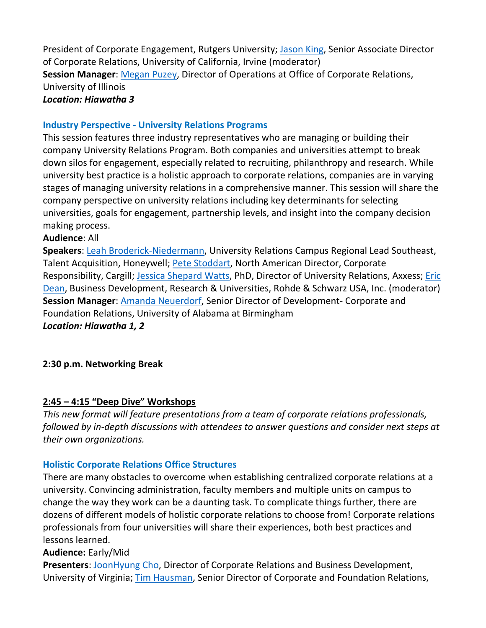President of Corporate Engagement, Rutgers University; [Jason King,](https://www.linkedin.com/in/jason-king-4236544b/) Senior Associate Director of Corporate Relations, University of California, Irvine (moderator) **Session Manager**: [Megan Puzey,](https://www.linkedin.com/search/results/all/?keywords=megan%20puzey&origin=RICH_QUERY_SUGGESTION&position=0&searchId=ecd64e07-c10b-4712-a109-6a65062d5c3c&sid=4VL) Director of Operations at Office of Corporate Relations, University of Illinois *Location: Hiawatha 3*

#### **Industry Perspective - University Relations Programs**

This session features three industry representatives who are managing or building their company University Relations Program. Both companies and universities attempt to break down silos for engagement, especially related to recruiting, philanthropy and research. While university best practice is a holistic approach to corporate relations, companies are in varying stages of managing university relations in a comprehensive manner. This session will share the company perspective on university relations including key determinants for selecting universities, goals for engagement, partnership levels, and insight into the company decision making process.

#### **Audience**: All

**Speakers**: [Leah Broderick-Niedermann,](https://www.linkedin.com/in/leahbroderickniedermann/) University Relations Campus Regional Lead Southeast, Talent Acquisition, Honeywell; [Pete Stoddart,](https://www.linkedin.com/in/pete-stoddart-a462659/) North American Director, Corporate Responsibility, Cargill; [Jessica Shepard Watts,](https://www.linkedin.com/in/jjswatts/) PhD, Director of University Relations, Axxess; [Eric](https://www.linkedin.com/in/ericdeantx/)  [Dean,](https://www.linkedin.com/in/ericdeantx/) Business Development, Research & Universities, Rohde & Schwarz USA, Inc. (moderator) **Session Manager**: [Amanda Neuerdorf,](https://www.linkedin.com/in/amanda-neuendorf-a43807138/) Senior Director of Development- Corporate and Foundation Relations, University of Alabama at Birmingham *Location: Hiawatha 1, 2* 

#### **2:30 p.m. Networking Break**

## **2:45 – 4:15 "Deep Dive" Workshops**

*This new format will feature presentations from a team of corporate relations professionals, followed by in-depth discussions with attendees to answer questions and consider next steps at their own organizations.*

## **Holistic Corporate Relations Office Structures**

There are many obstacles to overcome when establishing centralized corporate relations at a university. Convincing administration, faculty members and multiple units on campus to change the way they work can be a daunting task. To complicate things further, there are dozens of different models of holistic corporate relations to choose from! Corporate relations professionals from four universities will share their experiences, both best practices and lessons learned.

#### **Audience:** Early/Mid

**Presenters**: [JoonHyung Cho,](https://www.linkedin.com/in/joonhyungcho/) Director of Corporate Relations and Business Development, University of Virginia; [Tim Hausman,](https://www.linkedin.com/in/tim-hausman-j-d-phd-1b79b4b/) Senior Director of Corporate and Foundation Relations,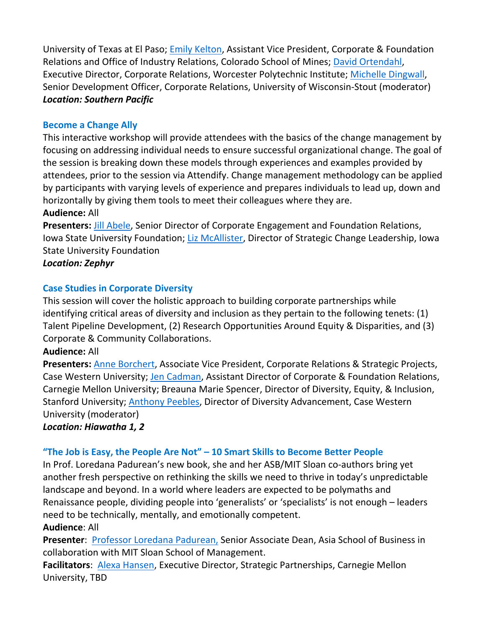University of Texas at El Paso; [Emily Kelton,](https://www.linkedin.com/in/emilymalatestakelton/) Assistant Vice President, Corporate & Foundation Relations and Office of Industry Relations, Colorado School of Mines; [David Ortendahl,](https://www.linkedin.com/in/davidortendahl/) Executive Director, Corporate Relations, Worcester Polytechnic Institute; [Michelle Dingwall,](https://www.linkedin.com/in/michelle-dingwall-922954b0/) Senior Development Officer, Corporate Relations, University of Wisconsin-Stout (moderator) *Location: Southern Pacific*

## **Become a Change Ally**

This interactive workshop will provide attendees with the basics of the change management by focusing on addressing individual needs to ensure successful organizational change. The goal of the session is breaking down these models through experiences and examples provided by attendees, prior to the session via Attendify. Change management methodology can be applied by participants with varying levels of experience and prepares individuals to lead up, down and horizontally by giving them tools to meet their colleagues where they are.

## **Audience:** All

**Presenters:** [Jill Abele,](https://www.linkedin.com/in/jilliandykhoff/) Senior Director of Corporate Engagement and Foundation Relations, Iowa State University Foundation; [Liz McAllister,](https://www.linkedin.com/in/elizabethcmcallister/) Director of Strategic Change Leadership, Iowa State University Foundation

## *Location: Zephyr*

## **Case Studies in Corporate Diversity**

This session will cover the holistic approach to building corporate partnerships while identifying critical areas of diversity and inclusion as they pertain to the following tenets: (1) Talent Pipeline Development, (2) Research Opportunities Around Equity & Disparities, and (3) Corporate & Community Collaborations.

## **Audience:** All

**Presenters:** [Anne Borchert,](https://www.linkedin.com/in/anne-borchert-654b036/) Associate Vice President, Corporate Relations & Strategic Projects, Case Western University; [Jen Cadman,](https://www.linkedin.com/in/jencadman/) Assistant Director of Corporate & Foundation Relations, Carnegie Mellon University; Breauna Marie Spencer, Director of Diversity, Equity, & Inclusion, Stanford University; [Anthony Peebles,](https://www.linkedin.com/in/tonypeebles/) Director of Diversity Advancement, Case Western University (moderator)

## *Location: Hiawatha 1, 2*

## **"The Job is Easy, the People Are Not" – 10 Smart Skills to Become Better People**

In Prof. Loredana Padurean's new book, she and her ASB/MIT Sloan co-authors bring yet another fresh perspective on rethinking the skills we need to thrive in today's unpredictable landscape and beyond. In a world where leaders are expected to be polymaths and Renaissance people, dividing people into 'generalists' or 'specialists' is not enough – leaders need to be technically, mentally, and emotionally competent.

## **Audience**: All

Presenter: **Professor Loredana Padurean**, Senior Associate Dean, Asia School of Business in collaboration with MIT Sloan School of Management.

**Facilitators**: [Alexa Hansen,](https://nam04.safelinks.protection.outlook.com/?url=https%3A%2F%2Fwww.linkedin.com%2Fin%2Falexahansen%2F&data=05%7C01%7Cdingwallm%40uwstout.edu%7C3abb7ddbc1f245edb2c808da4af7bad3%7Cb71a81a32f9543819b89c62343a66052%7C0%7C0%7C637904725112913082%7CUnknown%7CTWFpbGZsb3d8eyJWIjoiMC4wLjAwMDAiLCJQIjoiV2luMzIiLCJBTiI6Ik1haWwiLCJXVCI6Mn0%3D%7C3000%7C%7C%7C&sdata=cRh1xkpnW1vGmex2W03AcFEtpnWwhedM7HQUJMBixwo%3D&reserved=0) Executive Director, Strategic Partnerships, Carnegie Mellon University, TBD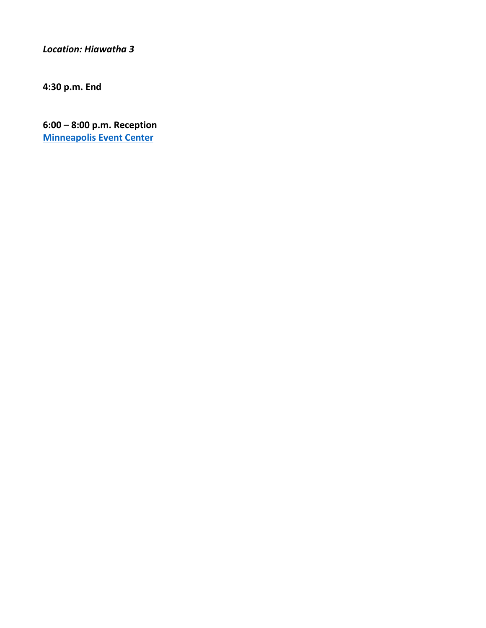*Location: Hiawatha 3*

**4:30 p.m. End** 

**6:00 – 8:00 p.m. Reception [Minneapolis Event Center](https://minneapoliseventcenters.com/)**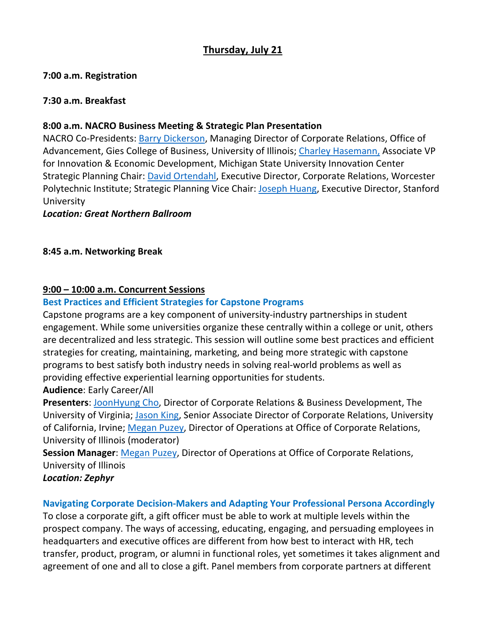## **Thursday, July 21**

## **7:00 a.m. Registration**

#### **7:30 a.m. Breakfast**

#### **8:00 a.m. NACRO Business Meeting & Strategic Plan Presentation**

NACRO Co-Presidents: [Barry Dickerson,](https://www.linkedin.com/in/barry-dickerson-88a53b38/) Managing Director of Corporate Relations, Office of Advancement, Gies College of Business, University of Illinois; [Charley Hasemann,](https://www.linkedin.com/in/charley-hasemann-04a6a81/) Associate VP for Innovation & Economic Development, Michigan State University Innovation Center Strategic Planning Chair: [David Ortendahl,](https://www.linkedin.com/in/davidortendahl/) Executive Director, Corporate Relations, Worcester Polytechnic Institute; Strategic Planning Vice Chair: [Joseph Huang,](https://www.linkedin.com/in/jhuangwithnmr/) Executive Director, Stanford University

*Location: Great Northern Ballroom*

#### **8:45 a.m. Networking Break**

#### **9:00 – 10:00 a.m. Concurrent Sessions**

#### **Best Practices and Efficient Strategies for Capstone Programs**

Capstone programs are a key component of university-industry partnerships in student engagement. While some universities organize these centrally within a college or unit, others are decentralized and less strategic. This session will outline some best practices and efficient strategies for creating, maintaining, marketing, and being more strategic with capstone programs to best satisfy both industry needs in solving real-world problems as well as providing effective experiential learning opportunities for students.

#### **Audience**: Early Career/All

**Presenters**: [JoonHyung Cho,](https://www.linkedin.com/in/joonhyungcho/) Director of Corporate Relations & Business Development, The University of Virginia; [Jason King,](https://www.linkedin.com/in/jason-king-4236544b/) Senior Associate Director of Corporate Relations, University of California, Irvine; [Megan Puzey,](https://www.linkedin.com/search/results/all/?keywords=megan%20puzey&origin=RICH_QUERY_SUGGESTION&position=0&searchId=ecd64e07-c10b-4712-a109-6a65062d5c3c&sid=4VL) Director of Operations at Office of Corporate Relations, University of Illinois (moderator)

**Session Manager**: [Megan Puzey,](https://www.linkedin.com/search/results/all/?keywords=megan%20puzey&origin=RICH_QUERY_SUGGESTION&position=0&searchId=ecd64e07-c10b-4712-a109-6a65062d5c3c&sid=4VL) Director of Operations at Office of Corporate Relations, University of Illinois

*Location: Zephyr*

## **Navigating Corporate Decision-Makers and Adapting Your Professional Persona Accordingly**

To close a corporate gift, a gift officer must be able to work at multiple levels within the prospect company. The ways of accessing, educating, engaging, and persuading employees in headquarters and executive offices are different from how best to interact with HR, tech transfer, product, program, or alumni in functional roles, yet sometimes it takes alignment and agreement of one and all to close a gift. Panel members from corporate partners at different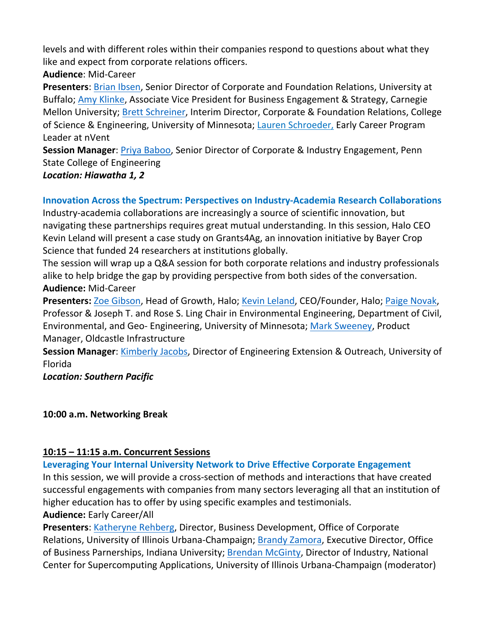levels and with different roles within their companies respond to questions about what they like and expect from corporate relations officers.

**Audience**: Mid-Career

**Presenters**: [Brian Ibsen,](https://www.linkedin.com/in/brianibsen/) Senior Director of Corporate and Foundation Relations, University at Buffalo; [Amy Klinke,](https://www.linkedin.com/in/amy-klinke-43660b4/) Associate Vice President for Business Engagement & Strategy, Carnegie Mellon University; [Brett Schreiner,](https://www.linkedin.com/in/brett-schreiner-ab789752/) Interim Director, Corporate & Foundation Relations, College of Science & Engineering, University of Minnesota; [Lauren Schroeder,](https://nam04.safelinks.protection.outlook.com/?url=https%3A%2F%2Fwww.linkedin.com%2Fin%2Flaureneschroeder%2F&data=05%7C01%7Cdingwallm%40uwstout.edu%7Ca047427348e14485e1f408da4e494601%7Cb71a81a32f9543819b89c62343a66052%7C0%7C0%7C637908373858661927%7CUnknown%7CTWFpbGZsb3d8eyJWIjoiMC4wLjAwMDAiLCJQIjoiV2luMzIiLCJBTiI6Ik1haWwiLCJXVCI6Mn0%3D%7C3000%7C%7C%7C&sdata=3fERwNZJwbKM9rBQuLClhff0mh9bUVepWlmpfNQ0yZ8%3D&reserved=0) Early Career Program Leader at nVent

**Session Manager:** *Priya Baboo*, Senior Director of Corporate & Industry Engagement, Penn State College of Engineering

*Location: Hiawatha 1, 2* 

## **Innovation Across the Spectrum: Perspectives on Industry-Academia Research Collaborations**

Industry-academia collaborations are increasingly a source of scientific innovation, but navigating these partnerships requires great mutual understanding. In this session, Halo CEO Kevin Leland will present a case study on Grants4Ag, an innovation initiative by Bayer Crop Science that funded 24 researchers at institutions globally.

The session will wrap up a Q&A session for both corporate relations and industry professionals alike to help bridge the gap by providing perspective from both sides of the conversation. **Audience:** Mid-Career

Presenters: [Zoe Gibson,](https://www.linkedin.com/in/zoecmgibson/) Head of Growth, Halo; [Kevin Leland,](https://www.linkedin.com/in/kmleland/) CEO/Founder, Halo; [Paige Novak,](https://www.linkedin.com/in/paige-novak-94829014/) Professor & Joseph T. and Rose S. Ling Chair in Environmental Engineering, Department of Civil, Environmental, and Geo- Engineering, University of Minnesota; [Mark Sweeney,](https://nam04.safelinks.protection.outlook.com/?url=https%3A%2F%2Fwww.linkedin.com%2Fin%2Fmarksweeney773%2F&data=05%7C01%7Cdingwallm%40uwstout.edu%7C26961de0a0ae4ec852da08da4e4606e2%7Cb71a81a32f9543819b89c62343a66052%7C0%7C0%7C637908359977679731%7CUnknown%7CTWFpbGZsb3d8eyJWIjoiMC4wLjAwMDAiLCJQIjoiV2luMzIiLCJBTiI6Ik1haWwiLCJXVCI6Mn0%3D%7C3000%7C%7C%7C&sdata=2KueFNhOAx%2FAtqUIHGPw%2BVC%2BOFNNi0LroMyoo6dT5Jw%3D&reserved=0) Product Manager, Oldcastle Infrastructure

**Session Manager**: [Kimberly Jacobs,](https://www.linkedin.com/in/kimfield/) Director of Engineering Extension & Outreach, University of Florida

*Location: Southern Pacific*

## **10:00 a.m. Networking Break**

## **10:15 – 11:15 a.m. Concurrent Sessions**

## **Leveraging Your Internal University Network to Drive Effective Corporate Engagement**

In this session, we will provide a cross-section of methods and interactions that have created successful engagements with companies from many sectors leveraging all that an institution of higher education has to offer by using specific examples and testimonials. **Audience:** Early Career/All

**Presenters**: [Katheryne Rehberg,](https://www.linkedin.com/search/results/all/?keywords=katheryne%20rehberg&origin=RICH_QUERY_SUGGESTION&position=0&searchId=d576ddd8-d804-478f-bd37-8f5057bc994b&sid=**%3A) Director, Business Development, Office of Corporate Relations, University of Illinois Urbana-Champaign; [Brandy Zamora,](https://www.linkedin.com/in/brandyzamora/) Executive Director, Office of Business Parnerships, Indiana University; [Brendan McGinty,](https://www.linkedin.com/in/brendanmcginty/) Director of Industry, National Center for Supercomputing Applications, University of Illinois Urbana-Champaign (moderator)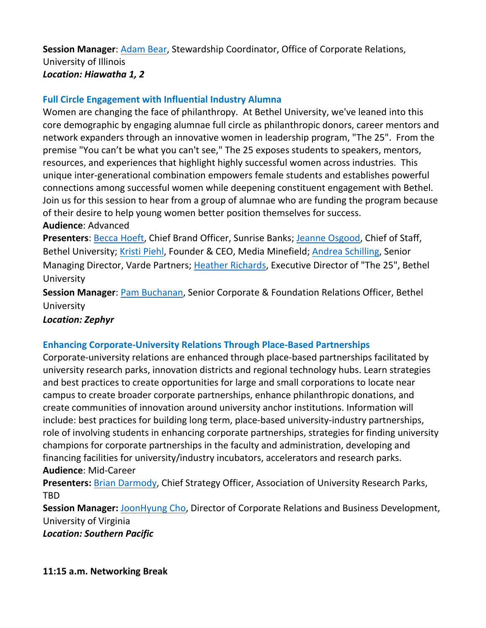**Session Manager**: [Adam Bear,](https://www.linkedin.com/in/adamjbear/) Stewardship Coordinator, Office of Corporate Relations, University of Illinois *Location: Hiawatha 1, 2* 

## **Full Circle Engagement with Influential Industry Alumna**

Women are changing the face of philanthropy. At Bethel University, we've leaned into this core demographic by engaging alumnae full circle as philanthropic donors, career mentors and network expanders through an innovative women in leadership program, "The 25". From the premise "You can't be what you can't see," The 25 exposes students to speakers, mentors, resources, and experiences that highlight highly successful women across industries. This unique inter-generational combination empowers female students and establishes powerful connections among successful women while deepening constituent engagement with Bethel. Join us for this session to hear from a group of alumnae who are funding the program because of their desire to help young women better position themselves for success. **Audience**: Advanced

Presenters: **Becca Hoeft**, Chief Brand Officer, Sunrise Banks; **Jeanne Osgood**, Chief of Staff, Bethel University; [Kristi Piehl,](https://www.linkedin.com/in/kristipiehl/) Founder & CEO, Media Minefield; [Andrea Schilling,](https://www.linkedin.com/in/andrea-schilling-a7040b9/) Senior Managing Director, Varde Partners; [Heather Richards,](https://www.linkedin.com/in/heatherrichards/) Executive Director of "The 25", Bethel University

**Session Manager**: [Pam Buchanan,](https://www.linkedin.com/search/results/all/?keywords=pamela%20buchanan&origin=RICH_QUERY_SUGGESTION&position=0&searchId=450529d1-70e0-4b45-8b3e-a0ad3ddee806&sid=%2CT%3A) Senior Corporate & Foundation Relations Officer, Bethel University

## *Location: Zephyr*

## **Enhancing Corporate-University Relations Through Place-Based Partnerships**

Corporate-university relations are enhanced through place-based partnerships facilitated by university research parks, innovation districts and regional technology hubs. Learn strategies and best practices to create opportunities for large and small corporations to locate near campus to create broader corporate partnerships, enhance philanthropic donations, and create communities of innovation around university anchor institutions. Information will include: best practices for building long term, place-based university-industry partnerships, role of involving students in enhancing corporate partnerships, strategies for finding university champions for corporate partnerships in the faculty and administration, developing and financing facilities for university/industry incubators, accelerators and research parks. **Audience**: Mid-Career

**Presenters:** [Brian Darmody,](https://www.linkedin.com/in/brian-darmody-9b794a3/) Chief Strategy Officer, Association of University Research Parks, TBD

**Session Manager:** [JoonHyung Cho,](https://www.linkedin.com/in/joonhyungcho/) Director of Corporate Relations and Business Development, University of Virginia

*Location: Southern Pacific*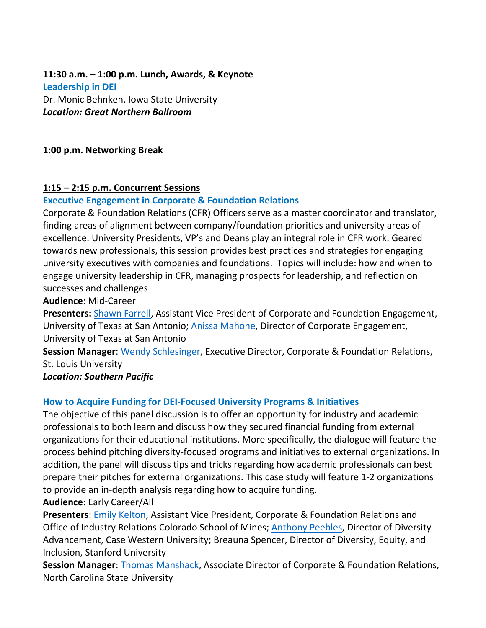**11:30 a.m. – 1:00 p.m. Lunch, Awards, & Keynote Leadership in DEI** Dr. Monic Behnken, Iowa State University *Location: Great Northern Ballroom*

**1:00 p.m. Networking Break**

## **1:15 – 2:15 p.m. Concurrent Sessions**

#### **Executive Engagement in Corporate & Foundation Relations**

Corporate & Foundation Relations (CFR) Officers serve as a master coordinator and translator, finding areas of alignment between company/foundation priorities and university areas of excellence. University Presidents, VP's and Deans play an integral role in CFR work. Geared towards new professionals, this session provides best practices and strategies for engaging university executives with companies and foundations. Topics will include: how and when to engage university leadership in CFR, managing prospects for leadership, and reflection on successes and challenges

**Audience**: Mid-Career

Presenters: **Shawn Farrell**, Assistant Vice President of Corporate and Foundation Engagement, University of Texas at San Antonio; [Anissa Mahone,](https://www.linkedin.com/in/anissa-mahone-7012a03/) Director of Corporate Engagement, University of Texas at San Antonio

**Session Manager**: [Wendy Schlesinger,](https://www.linkedin.com/in/wendyschlesinger/) Executive Director, Corporate & Foundation Relations, St. Louis University

*Location: Southern Pacific*

## **How to Acquire Funding for DEI-Focused University Programs & Initiatives**

The objective of this panel discussion is to offer an opportunity for industry and academic professionals to both learn and discuss how they secured financial funding from external organizations for their educational institutions. More specifically, the dialogue will feature the process behind pitching diversity-focused programs and initiatives to external organizations. In addition, the panel will discuss tips and tricks regarding how academic professionals can best prepare their pitches for external organizations. This case study will feature 1-2 organizations to provide an in-depth analysis regarding how to acquire funding.

#### **Audience**: Early Career/All

**Presenters**: [Emily Kelton,](https://www.linkedin.com/in/emilymalatestakelton/) Assistant Vice President, Corporate & Foundation Relations and Office of Industry Relations Colorado School of Mines; [Anthony Peebles,](https://www.linkedin.com/in/tonypeebles/) Director of Diversity Advancement, Case Western University; Breauna Spencer, Director of Diversity, Equity, and Inclusion, Stanford University

**Session Manager**: [Thomas Manshack,](https://www.linkedin.com/search/results/all/?keywords=thomas%20manshack&origin=RICH_QUERY_SUGGESTION&position=0&searchId=83dbd4ec-0d7d-4b4d-9d59-61e8538794df&sid=DSd) Associate Director of Corporate & Foundation Relations, North Carolina State University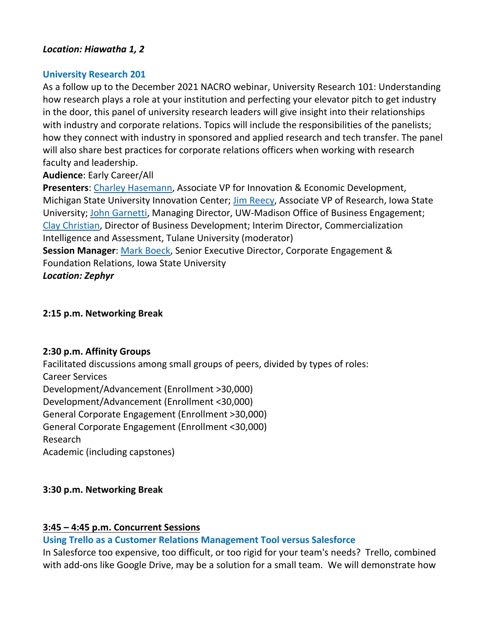#### *Location: Hiawatha 1, 2*

#### **University Research 201**

As a follow up to the December 2021 NACRO webinar, University Research 101: Understanding how research plays a role at your institution and perfecting your elevator pitch to get industry in the door, this panel of university research leaders will give insight into their relationships with industry and corporate relations. Topics will include the responsibilities of the panelists; how they connect with industry in sponsored and applied research and tech transfer. The panel will also share best practices for corporate relations officers when working with research faculty and leadership.

## **Audience**: Early Career/All

**Presenters**: [Charley Hasemann,](https://www.linkedin.com/in/charley-hasemann-04a6a81?miniProfileUrn=urn%3Ali%3Afs_miniProfile%3AACoAAABHuDoBuvlFIrtrbmEZU2iDmRVCayB30b4&lipi=urn%3Ali%3Apage%3Ad_flagship3_search_srp_all%3BboIoJyO9RT2fqgZZh0fKfQ%3D%3D) Associate VP for Innovation & Economic Development, Michigan State University Innovation Center; [Jim Reecy,](https://www.linkedin.com/in/james-reecy-900a7720?miniProfileUrn=urn%3Ali%3Afs_miniProfile%3AACoAAARt41AB1RKTWOScQvOopychMTkBLXc7zyI&lipi=urn%3Ali%3Apage%3Ad_flagship3_search_srp_all%3BNUSCldHuTFuXJzQdt%2By8NA%3D%3D) Associate VP of Research, Iowa State University; [John Garnetti,](https://www.linkedin.com/in/john-garnetti-863b9833/) Managing Director, UW-Madison Office of Business Engagement; [Clay Christian,](https://www.linkedin.com/in/claibornemchristian?miniProfileUrn=urn%3Ali%3Afs_miniProfile%3AACoAABpuo-UBBY6EmGykyzVSyMeqNkzqjfxz3qU&lipi=urn%3Ali%3Apage%3Ad_flagship3_search_srp_all%3BKkHkqv3zR3Si5YvTCXA5Kg%3D%3D) Director of Business Development; Interim Director, Commercialization Intelligence and Assessment, Tulane University (moderator) **Session Manager**: [Mark Boeck,](https://www.linkedin.com/in/mark-boeck-5a055a3a/) Senior Executive Director, Corporate Engagement & Foundation Relations, Iowa State University *Location: Zephyr*

## **2:15 p.m. Networking Break**

## **2:30 p.m. Affinity Groups**

Facilitated discussions among small groups of peers, divided by types of roles: Career Services Development/Advancement (Enrollment >30,000) Development/Advancement (Enrollment <30,000) General Corporate Engagement (Enrollment >30,000) General Corporate Engagement (Enrollment <30,000) Research Academic (including capstones)

## **3:30 p.m. Networking Break**

## **3:45 – 4:45 p.m. Concurrent Sessions**

## **Using Trello as a Customer Relations Management Tool versus Salesforce**

In Salesforce too expensive, too difficult, or too rigid for your team's needs? Trello, combined with add-ons like Google Drive, may be a solution for a small team. We will demonstrate how